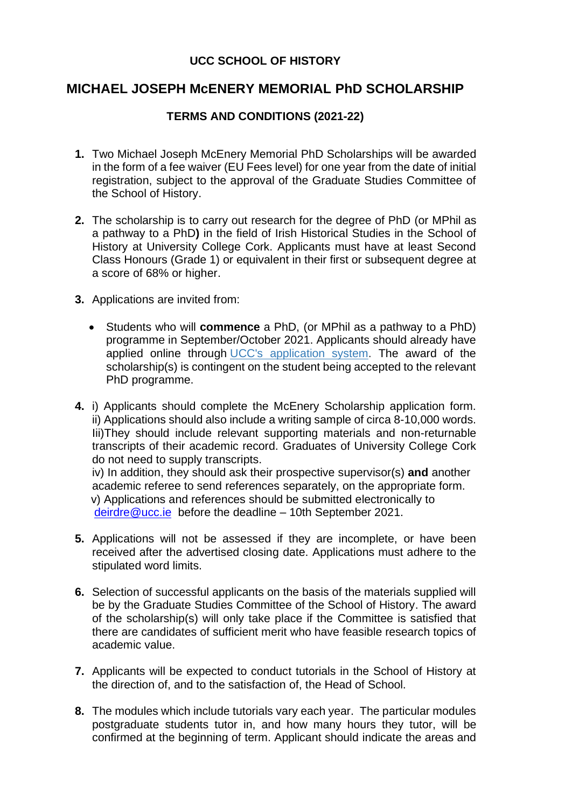## **UCC SCHOOL OF HISTORY**

## **MICHAEL JOSEPH McENERY MEMORIAL PhD SCHOLARSHIP**

## **TERMS AND CONDITIONS (2021-22)**

- **1.** Two Michael Joseph McEnery Memorial PhD Scholarships will be awarded in the form of a fee waiver (EU Fees level) for one year from the date of initial registration, subject to the approval of the Graduate Studies Committee of the School of History.
- **2.** The scholarship is to carry out research for the degree of PhD (or MPhil as a pathway to a PhD**)** in the field of Irish Historical Studies in the School of History at University College Cork. Applicants must have at least Second Class Honours (Grade 1) or equivalent in their first or subsequent degree at a score of 68% or higher.
- **3.** Applications are invited from:
	- Students who will **commence** a PhD, (or MPhil as a pathway to a PhD) programme in September/October 2021. Applicants should already have applied online through [UCC's application system.](https://www.ucc.ie/apply) The award of the scholarship(s) is contingent on the student being accepted to the relevant PhD programme.
- **4.** i) Applicants should complete the McEnery Scholarship application form. ii) Applications should also include a writing sample of circa 8-10,000 words. Iii)They should include relevant supporting materials and non-returnable transcripts of their academic record. Graduates of University College Cork do not need to supply transcripts.

iv) In addition, they should ask their prospective supervisor(s) **and** another academic referee to send references separately, on the appropriate form. v) Applications and references should be submitted electronically to [deirdre@ucc.ie](mailto:deirdre@ucc.ie) before the deadline – 10th September 2021.

- **5.** Applications will not be assessed if they are incomplete, or have been received after the advertised closing date. Applications must adhere to the stipulated word limits.
- **6.** Selection of successful applicants on the basis of the materials supplied will be by the Graduate Studies Committee of the School of History. The award of the scholarship(s) will only take place if the Committee is satisfied that there are candidates of sufficient merit who have feasible research topics of academic value.
- **7.** Applicants will be expected to conduct tutorials in the School of History at the direction of, and to the satisfaction of, the Head of School.
- **8.** The modules which include tutorials vary each year. The particular modules postgraduate students tutor in, and how many hours they tutor, will be confirmed at the beginning of term. Applicant should indicate the areas and